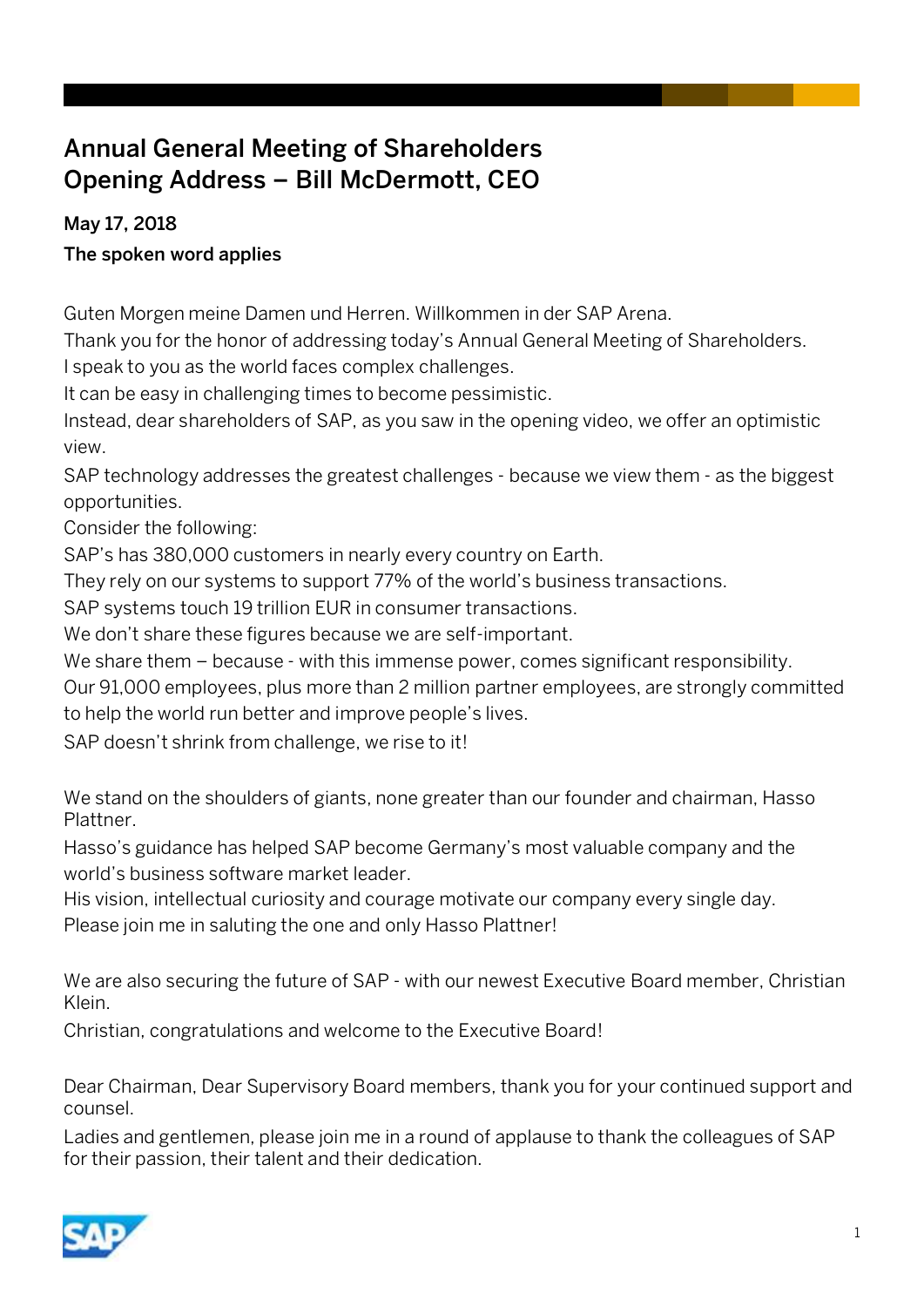# Annual General Meeting of Shareholders Opening Address – Bill McDermott, CEO

#### May 17, 2018

#### The spoken word applies

Guten Morgen meine Damen und Herren. Willkommen in der SAP Arena.

Thank you for the honor of addressing today's Annual General Meeting of Shareholders. I speak to you as the world faces complex challenges.

It can be easy in challenging times to become pessimistic.

Instead, dear shareholders of SAP, as you saw in the opening video, we offer an optimistic view.

SAP technology addresses the greatest challenges - because we view them - as the biggest opportunities.

Consider the following:

SAP's has 380,000 customers in nearly every country on Earth.

They rely on our systems to support 77% of the world's business transactions.

SAP systems touch 19 trillion EUR in consumer transactions.

We don't share these figures because we are self-important.

We share them – because - with this immense power, comes significant responsibility.

Our 91,000 employees, plus more than 2 million partner employees, are strongly committed to help the world run better and improve people's lives.

SAP doesn't shrink from challenge, we rise to it!

We stand on the shoulders of giants, none greater than our founder and chairman, Hasso Plattner.

Hasso's guidance has helped SAP become Germany's most valuable company and the world's business software market leader.

His vision, intellectual curiosity and courage motivate our company every single day. Please join me in saluting the one and only Hasso Plattner!

We are also securing the future of SAP - with our newest Executive Board member, Christian Klein.

Christian, congratulations and welcome to the Executive Board!

Dear Chairman, Dear Supervisory Board members, thank you for your continued support and counsel.

Ladies and gentlemen, please join me in a round of applause to thank the colleagues of SAP for their passion, their talent and their dedication.

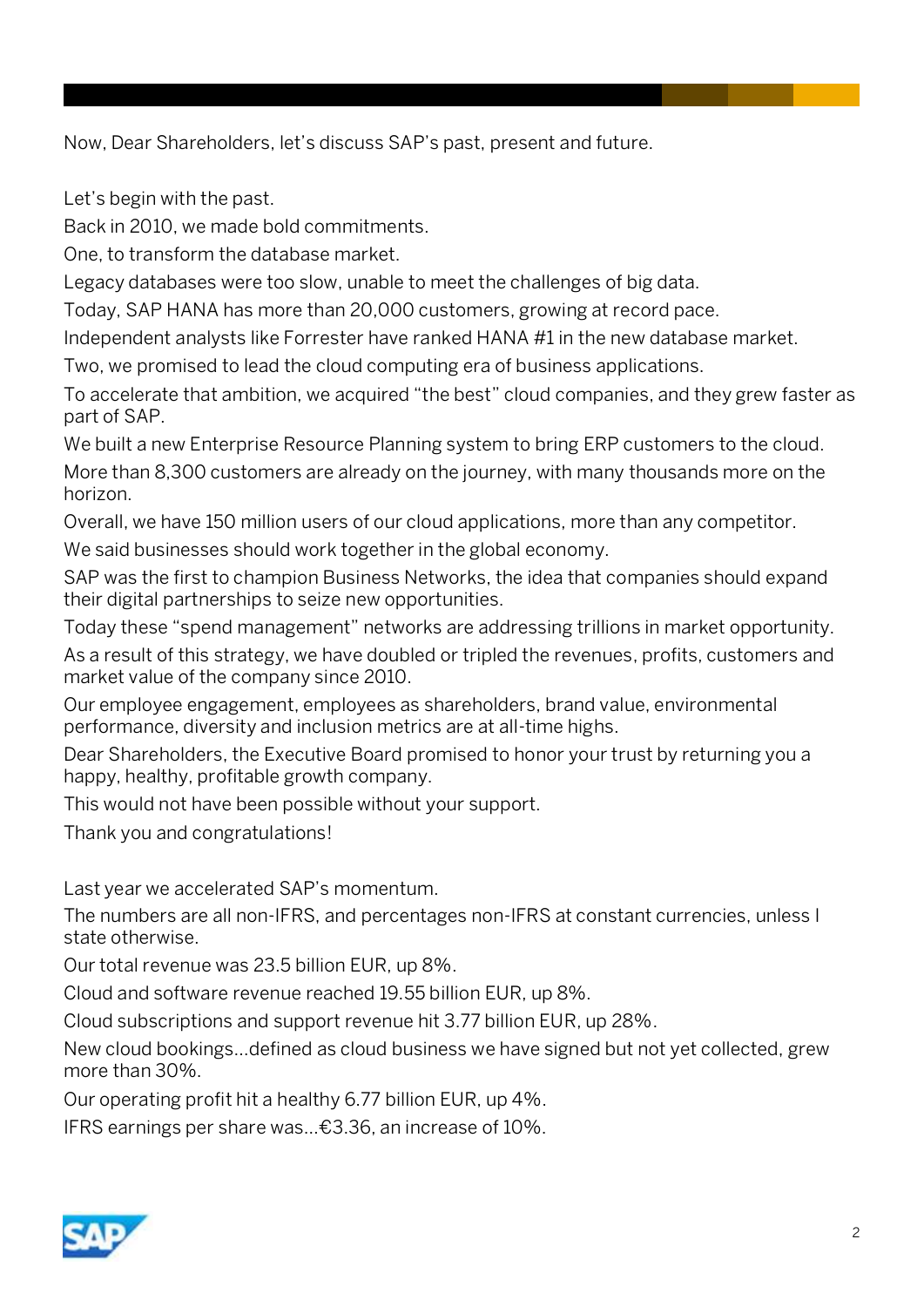Now, Dear Shareholders, let's discuss SAP's past, present and future.

Let's begin with the past.

Back in 2010, we made bold commitments.

One, to transform the database market.

Legacy databases were too slow, unable to meet the challenges of big data.

Today, SAP HANA has more than 20,000 customers, growing at record pace.

Independent analysts like Forrester have ranked HANA #1 in the new database market.

Two, we promised to lead the cloud computing era of business applications.

To accelerate that ambition, we acquired "the best" cloud companies, and they grew faster as part of SAP.

We built a new Enterprise Resource Planning system to bring ERP customers to the cloud. More than 8,300 customers are already on the journey, with many thousands more on the horizon.

Overall, we have 150 million users of our cloud applications, more than any competitor.

We said businesses should work together in the global economy.

SAP was the first to champion Business Networks, the idea that companies should expand their digital partnerships to seize new opportunities.

Today these "spend management" networks are addressing trillions in market opportunity.

As a result of this strategy, we have doubled or tripled the revenues, profits, customers and market value of the company since 2010.

Our employee engagement, employees as shareholders, brand value, environmental performance, diversity and inclusion metrics are at all-time highs.

Dear Shareholders, the Executive Board promised to honor your trust by returning you a happy, healthy, profitable growth company.

This would not have been possible without your support.

Thank you and congratulations!

Last year we accelerated SAP's momentum.

The numbers are all non-IFRS, and percentages non-IFRS at constant currencies, unless I state otherwise.

Our total revenue was 23.5 billion EUR, up 8%.

Cloud and software revenue reached 19.55 billion EUR, up 8%.

Cloud subscriptions and support revenue hit 3.77 billion EUR, up 28%.

New cloud bookings…defined as cloud business we have signed but not yet collected, grew more than 30%.

Our operating profit hit a healthy 6.77 billion EUR, up 4%.

IFRS earnings per share was…€3.36, an increase of 10%.

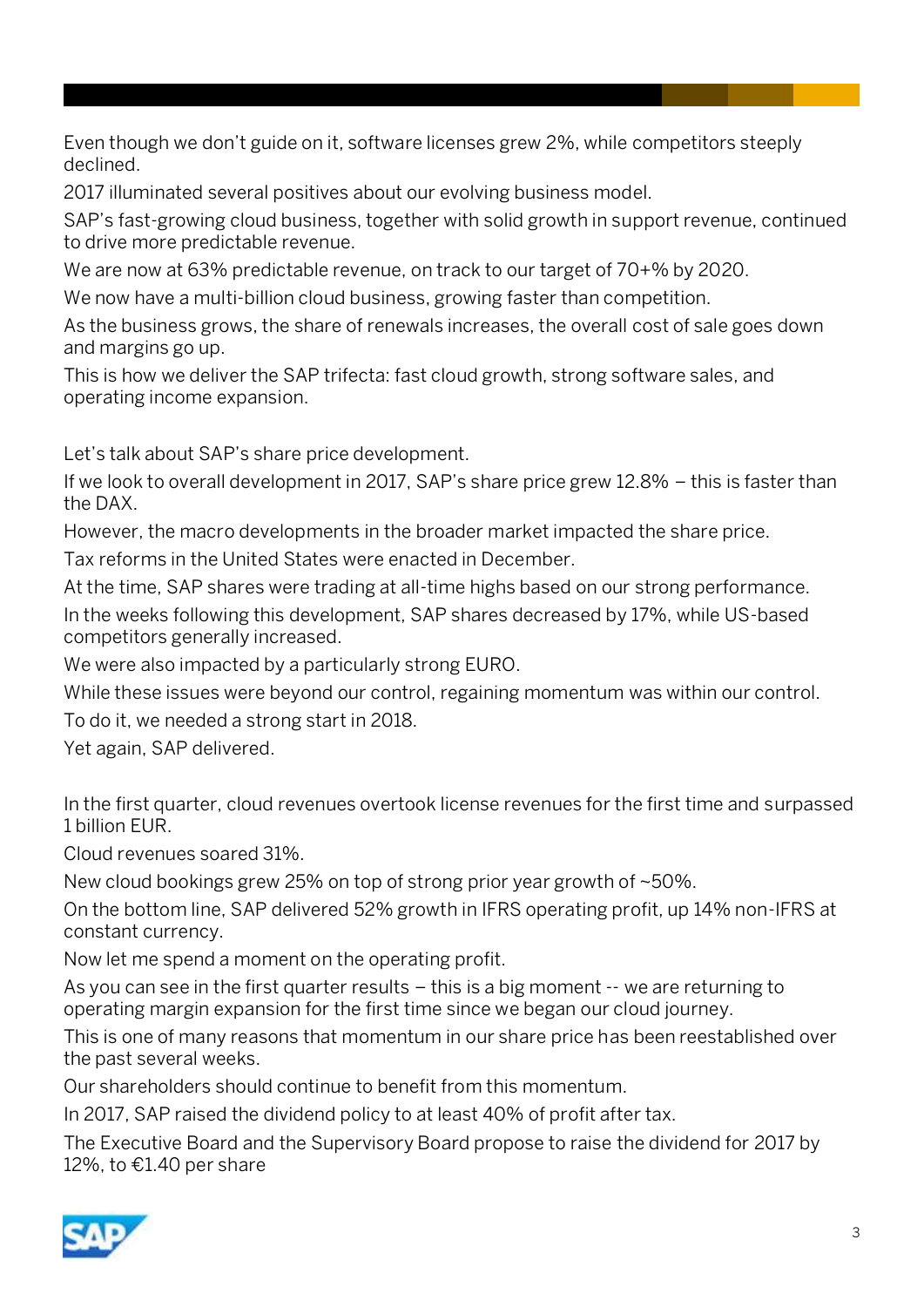Even though we don't guide on it, software licenses grew 2%, while competitors steeply declined.

2017 illuminated several positives about our evolving business model.

SAP's fast-growing cloud business, together with solid growth in support revenue, continued to drive more predictable revenue.

We are now at 63% predictable revenue, on track to our target of 70+% by 2020.

We now have a multi-billion cloud business, growing faster than competition.

As the business grows, the share of renewals increases, the overall cost of sale goes down and margins go up.

This is how we deliver the SAP trifecta: fast cloud growth, strong software sales, and operating income expansion.

Let's talk about SAP's share price development.

If we look to overall development in 2017, SAP's share price grew 12.8% – this is faster than the DAX.

However, the macro developments in the broader market impacted the share price.

Tax reforms in the United States were enacted in December.

At the time, SAP shares were trading at all-time highs based on our strong performance. In the weeks following this development, SAP shares decreased by 17%, while US-based competitors generally increased.

We were also impacted by a particularly strong EURO.

While these issues were beyond our control, regaining momentum was within our control.

To do it, we needed a strong start in 2018.

Yet again, SAP delivered.

In the first quarter, cloud revenues overtook license revenues for the first time and surpassed 1 billion EUR.

Cloud revenues soared 31%.

New cloud bookings grew 25% on top of strong prior year growth of ~50%.

On the bottom line, SAP delivered 52% growth in IFRS operating profit, up 14% non-IFRS at constant currency.

Now let me spend a moment on the operating profit.

As you can see in the first quarter results – this is a big moment -- we are returning to operating margin expansion for the first time since we began our cloud journey.

This is one of many reasons that momentum in our share price has been reestablished over the past several weeks.

Our shareholders should continue to benefit from this momentum.

In 2017, SAP raised the dividend policy to at least 40% of profit after tax.

The Executive Board and the Supervisory Board propose to raise the dividend for 2017 by 12%, to €1.40 per share

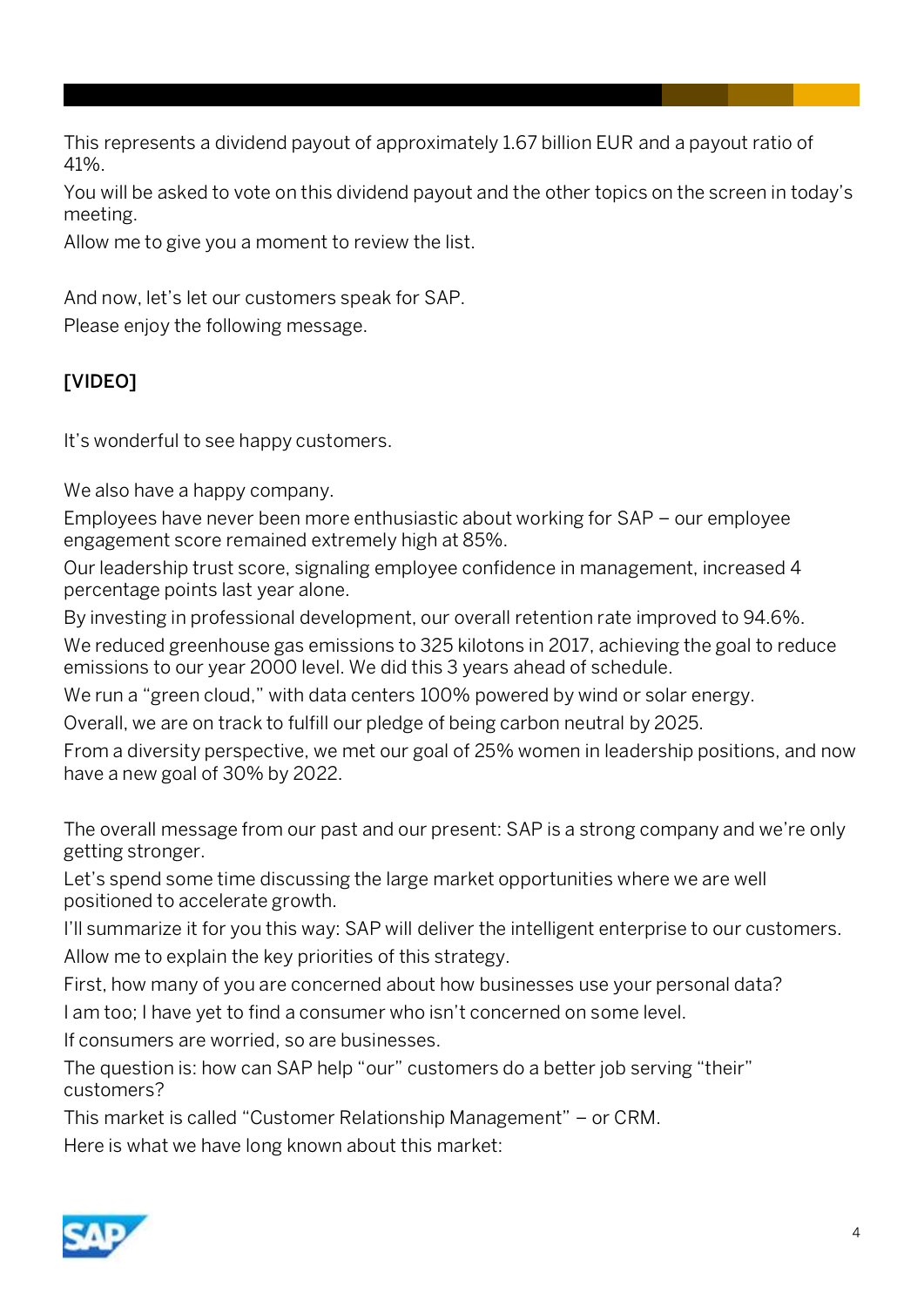This represents a dividend payout of approximately 1.67 billion EUR and a payout ratio of 41%.

You will be asked to vote on this dividend payout and the other topics on the screen in today's meeting.

Allow me to give you a moment to review the list.

And now, let's let our customers speak for SAP.

Please enjoy the following message.

### [VIDEO]

It's wonderful to see happy customers.

We also have a happy company.

Employees have never been more enthusiastic about working for SAP – our employee engagement score remained extremely high at 85%.

Our leadership trust score, signaling employee confidence in management, increased 4 percentage points last year alone.

By investing in professional development, our overall retention rate improved to 94.6%.

We reduced greenhouse gas emissions to 325 kilotons in 2017, achieving the goal to reduce emissions to our year 2000 level. We did this 3 years ahead of schedule.

We run a "green cloud," with data centers 100% powered by wind or solar energy.

Overall, we are on track to fulfill our pledge of being carbon neutral by 2025.

From a diversity perspective, we met our goal of 25% women in leadership positions, and now have a new goal of 30% by 2022.

The overall message from our past and our present: SAP is a strong company and we're only getting stronger.

Let's spend some time discussing the large market opportunities where we are well positioned to accelerate growth.

I'll summarize it for you this way: SAP will deliver the intelligent enterprise to our customers. Allow me to explain the key priorities of this strategy.

First, how many of you are concerned about how businesses use your personal data?

I am too; I have yet to find a consumer who isn't concerned on some level.

If consumers are worried, so are businesses.

The question is: how can SAP help "our" customers do a better job serving "their" customers?

This market is called "Customer Relationship Management" – or CRM.

Here is what we have long known about this market:

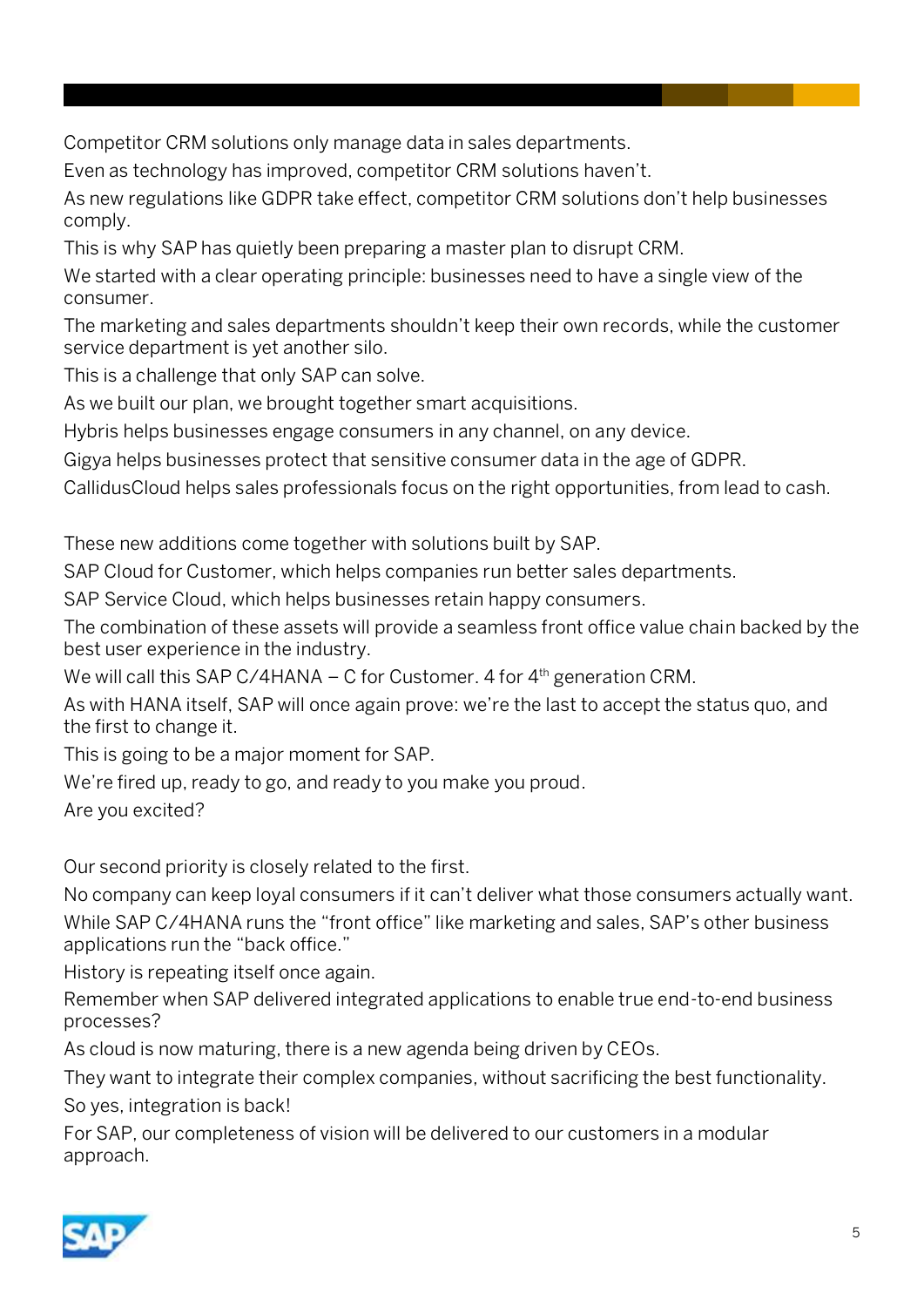Competitor CRM solutions only manage data in sales departments.

Even as technology has improved, competitor CRM solutions haven't.

As new regulations like GDPR take effect, competitor CRM solutions don't help businesses comply.

This is why SAP has quietly been preparing a master plan to disrupt CRM.

We started with a clear operating principle: businesses need to have a single view of the consumer.

The marketing and sales departments shouldn't keep their own records, while the customer service department is yet another silo.

This is a challenge that only SAP can solve.

As we built our plan, we brought together smart acquisitions.

Hybris helps businesses engage consumers in any channel, on any device.

Gigya helps businesses protect that sensitive consumer data in the age of GDPR.

CallidusCloud helps sales professionals focus on the right opportunities, from lead to cash.

These new additions come together with solutions built by SAP.

SAP Cloud for Customer, which helps companies run better sales departments.

SAP Service Cloud, which helps businesses retain happy consumers.

The combination of these assets will provide a seamless front office value chain backed by the best user experience in the industry.

We will call this SAP C/4HANA – C for Customer. 4 for  $4<sup>th</sup>$  generation CRM.

As with HANA itself, SAP will once again prove: we're the last to accept the status quo, and the first to change it.

This is going to be a major moment for SAP.

We're fired up, ready to go, and ready to you make you proud.

Are you excited?

Our second priority is closely related to the first.

No company can keep loyal consumers if it can't deliver what those consumers actually want. While SAP C/4HANA runs the "front office" like marketing and sales, SAP's other business applications run the "back office."

History is repeating itself once again.

Remember when SAP delivered integrated applications to enable true end-to-end business processes?

As cloud is now maturing, there is a new agenda being driven by CEOs.

They want to integrate their complex companies, without sacrificing the best functionality. So yes, integration is back!

For SAP, our completeness of vision will be delivered to our customers in a modular approach.

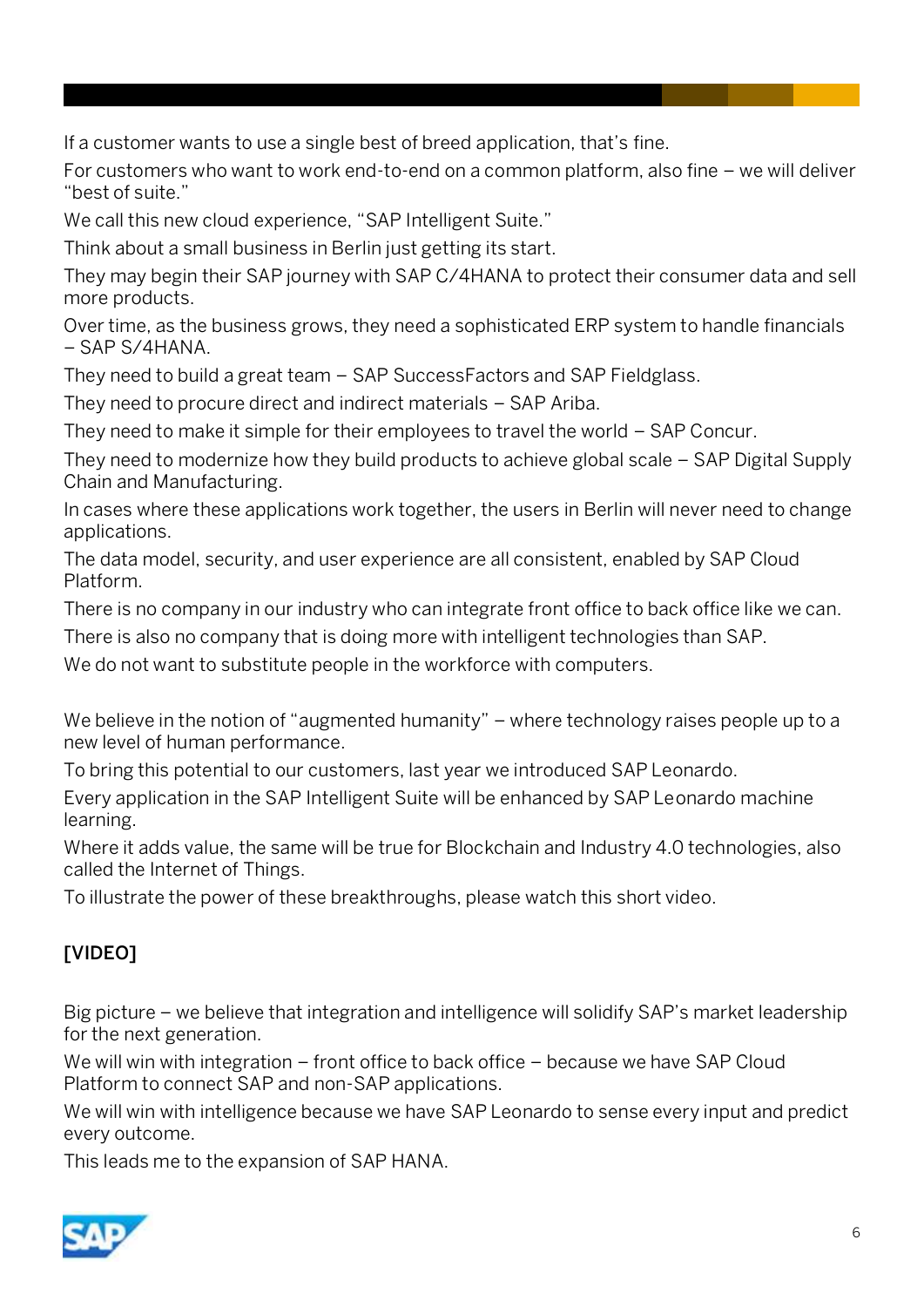If a customer wants to use a single best of breed application, that's fine.

For customers who want to work end-to-end on a common platform, also fine – we will deliver "best of suite."

We call this new cloud experience, "SAP Intelligent Suite."

Think about a small business in Berlin just getting its start.

They may begin their SAP journey with SAP C/4HANA to protect their consumer data and sell more products.

Over time, as the business grows, they need a sophisticated ERP system to handle financials – SAP S/4HANA.

They need to build a great team – SAP SuccessFactors and SAP Fieldglass.

They need to procure direct and indirect materials – SAP Ariba.

They need to make it simple for their employees to travel the world – SAP Concur.

They need to modernize how they build products to achieve global scale – SAP Digital Supply Chain and Manufacturing.

In cases where these applications work together, the users in Berlin will never need to change applications.

The data model, security, and user experience are all consistent, enabled by SAP Cloud Platform.

There is no company in our industry who can integrate front office to back office like we can.

There is also no company that is doing more with intelligent technologies than SAP.

We do not want to substitute people in the workforce with computers.

We believe in the notion of "augmented humanity" – where technology raises people up to a new level of human performance.

To bring this potential to our customers, last year we introduced SAP Leonardo.

Every application in the SAP Intelligent Suite will be enhanced by SAP Leonardo machine learning.

Where it adds value, the same will be true for Blockchain and Industry 4.0 technologies, also called the Internet of Things.

To illustrate the power of these breakthroughs, please watch this short video.

### [VIDEO]

Big picture – we believe that integration and intelligence will solidify SAP's market leadership for the next generation.

We will win with integration – front office to back office – because we have SAP Cloud Platform to connect SAP and non-SAP applications.

We will win with intelligence because we have SAP Leonardo to sense every input and predict every outcome.

This leads me to the expansion of SAP HANA.

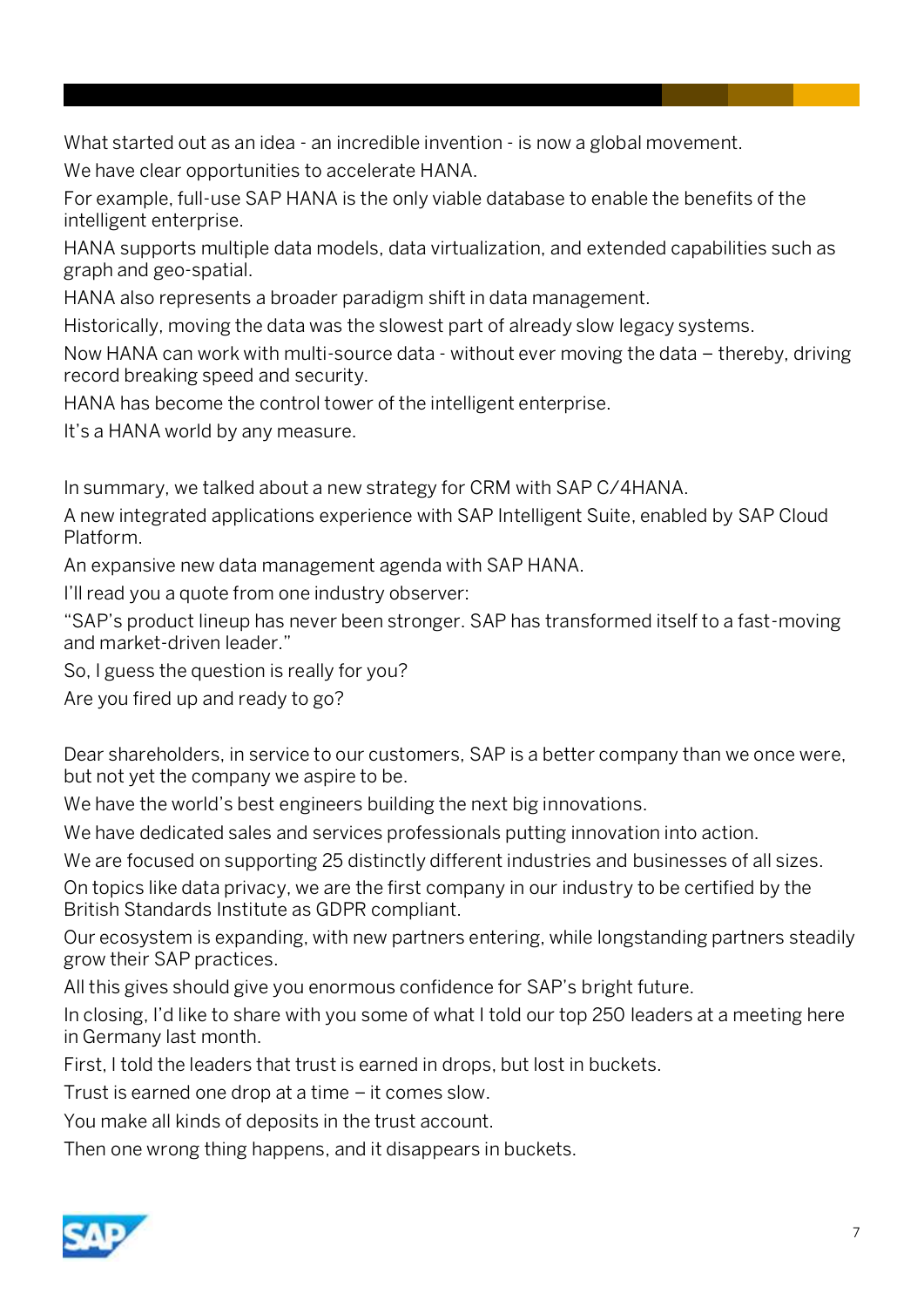What started out as an idea - an incredible invention - is now a global movement.

We have clear opportunities to accelerate HANA.

For example, full-use SAP HANA is the only viable database to enable the benefits of the intelligent enterprise.

HANA supports multiple data models, data virtualization, and extended capabilities such as graph and geo-spatial.

HANA also represents a broader paradigm shift in data management.

Historically, moving the data was the slowest part of already slow legacy systems.

Now HANA can work with multi-source data - without ever moving the data – thereby, driving record breaking speed and security.

HANA has become the control tower of the intelligent enterprise.

It's a HANA world by any measure.

In summary, we talked about a new strategy for CRM with SAP C/4HANA.

A new integrated applications experience with SAP Intelligent Suite, enabled by SAP Cloud Platform.

An expansive new data management agenda with SAP HANA.

I'll read you a quote from one industry observer:

"SAP's product lineup has never been stronger. SAP has transformed itself to a fast-moving and market-driven leader."

So, I guess the question is really for you?

Are you fired up and ready to go?

Dear shareholders, in service to our customers, SAP is a better company than we once were, but not yet the company we aspire to be.

We have the world's best engineers building the next big innovations.

We have dedicated sales and services professionals putting innovation into action.

We are focused on supporting 25 distinctly different industries and businesses of all sizes.

On topics like data privacy, we are the first company in our industry to be certified by the British Standards Institute as GDPR compliant.

Our ecosystem is expanding, with new partners entering, while longstanding partners steadily grow their SAP practices.

All this gives should give you enormous confidence for SAP's bright future.

In closing, I'd like to share with you some of what I told our top 250 leaders at a meeting here in Germany last month.

First, I told the leaders that trust is earned in drops, but lost in buckets.

Trust is earned one drop at a time – it comes slow.

You make all kinds of deposits in the trust account.

Then one wrong thing happens, and it disappears in buckets.

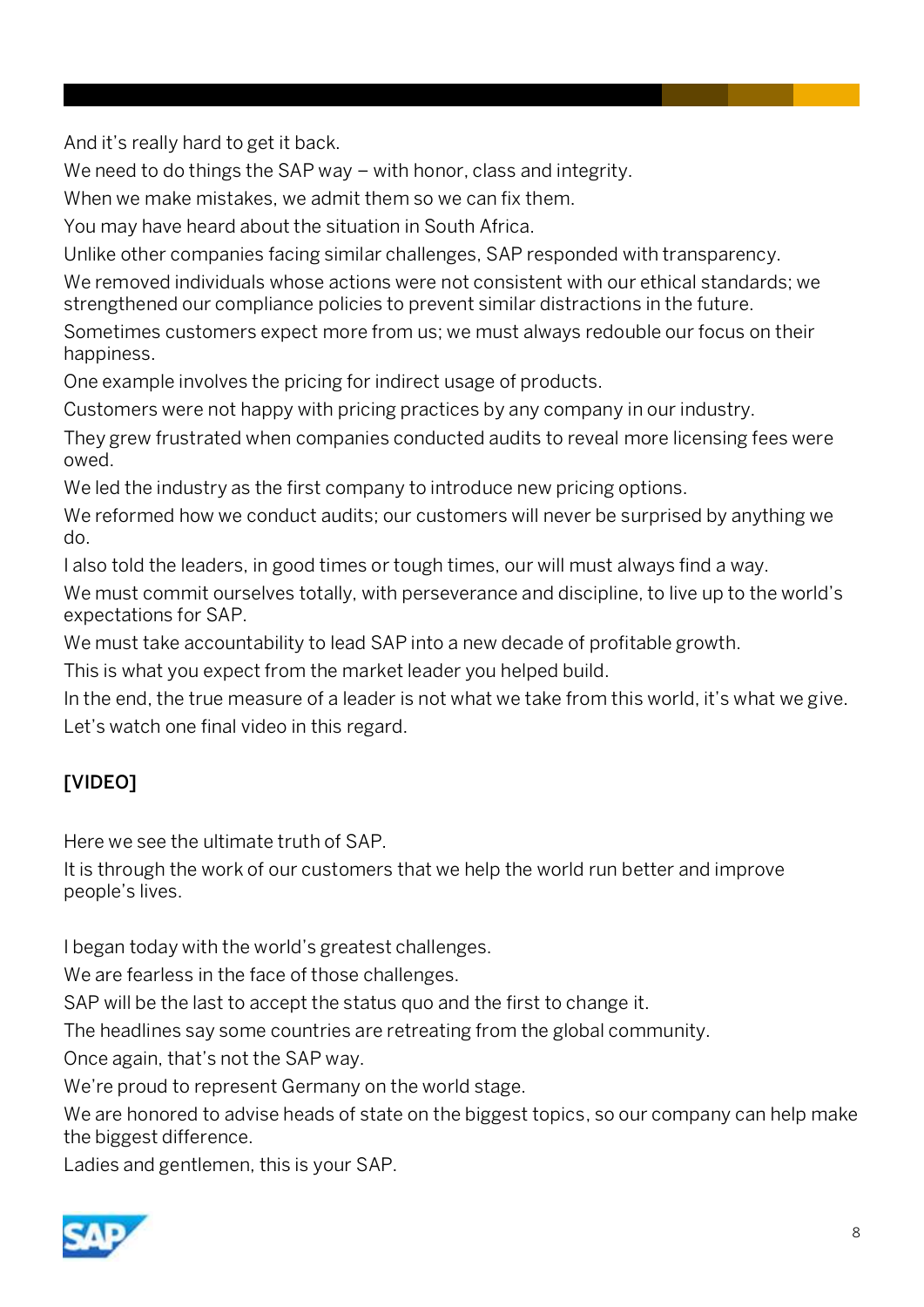And it's really hard to get it back.

We need to do things the SAP way – with honor, class and integrity.

When we make mistakes, we admit them so we can fix them.

You may have heard about the situation in South Africa.

Unlike other companies facing similar challenges, SAP responded with transparency.

We removed individuals whose actions were not consistent with our ethical standards; we strengthened our compliance policies to prevent similar distractions in the future.

Sometimes customers expect more from us; we must always redouble our focus on their happiness.

One example involves the pricing for indirect usage of products.

Customers were not happy with pricing practices by any company in our industry.

They grew frustrated when companies conducted audits to reveal more licensing fees were owed.

We led the industry as the first company to introduce new pricing options.

We reformed how we conduct audits; our customers will never be surprised by anything we do.

I also told the leaders, in good times or tough times, our will must always find a way.

We must commit ourselves totally, with perseverance and discipline, to live up to the world's expectations for SAP.

We must take accountability to lead SAP into a new decade of profitable growth.

This is what you expect from the market leader you helped build.

In the end, the true measure of a leader is not what we take from this world, it's what we give. Let's watch one final video in this regard.

## [VIDEO]

Here we see the ultimate truth of SAP.

It is through the work of our customers that we help the world run better and improve people's lives.

I began today with the world's greatest challenges.

We are fearless in the face of those challenges.

SAP will be the last to accept the status quo and the first to change it.

The headlines say some countries are retreating from the global community.

Once again, that's not the SAP way.

We're proud to represent Germany on the world stage.

We are honored to advise heads of state on the biggest topics, so our company can help make the biggest difference.

Ladies and gentlemen, this is your SAP.